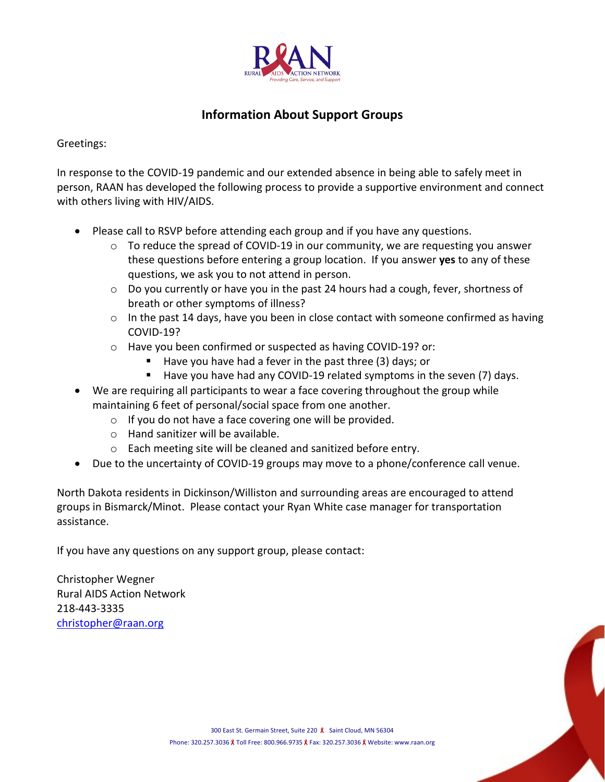

## **Information About Support Groups**

Greetings:

In response to the COVID-19 pandemic and our extended absence in being able to safely meet in person, RAAN has developed the following process to provide a supportive environment and connect with others living with HIV/AIDS.

- Please call to RSVP before attending each group and if you have any questions.
	- $\circ$  To reduce the spread of COVID-19 in our community, we are requesting you answer these questions before entering a group location. If you answer **yes** to any of these questions, we ask you to not attend in person.
	- $\circ$  Do you currently or have you in the past 24 hours had a cough, fever, shortness of breath or other symptoms of illness?
	- $\circ$  In the past 14 days, have you been in close contact with someone confirmed as having COVID-19?
	- o Have you been confirmed or suspected as having COVID-19? or:
		- $\blacksquare$  Have you have had a fever in the past three (3) days; or
		- Have you have had any COVID-19 related symptoms in the seven (7) days.
- We are requiring all participants to wear a face covering throughout the group while maintaining 6 feet of personal/social space from one another.
	- $\circ$  If you do not have a face covering one will be provided.
	- o Hand sanitizer will be available.
	- o Each meeting site will be cleaned and sanitized before entry.
- Due to the uncertainty of COVID-19 groups may move to a phone/conference call venue.

North Dakota residents in Dickinson/Williston and surrounding areas are encouraged to attend groups in Bismarck/Minot. Please contact your Ryan White case manager for transportation assistance.

If you have any questions on any support group, please contact:

Christopher Wegner Rural AIDS Action Network 218-443-3335 [christopher@raan.org](mailto:christopher@raan.org)